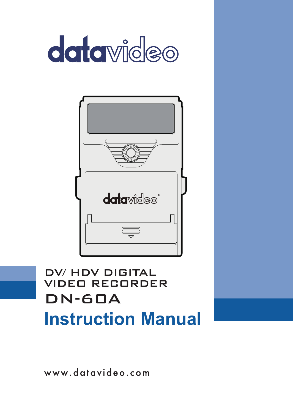



DN-60A DV/ HDV DIGITAL VIDEO RECORDER **Instruction Manual**

www.datavideo.com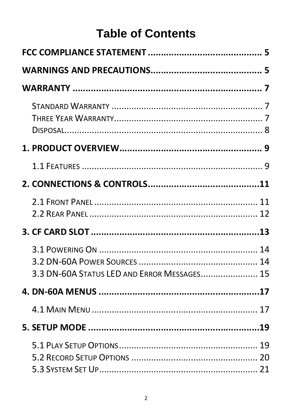# **Table of Contents**

| 3.3 DN-60A STATUS LED AND ERROR MESSAGES 15 |  |
|---------------------------------------------|--|
|                                             |  |
|                                             |  |
|                                             |  |
|                                             |  |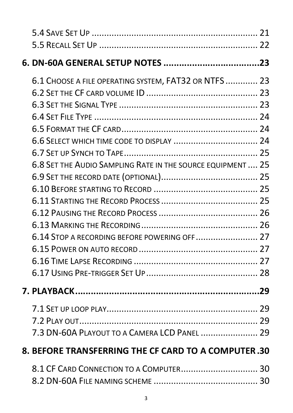| 6.1 CHOOSE A FILE OPERATING SYSTEM, FAT32 OR NTFS  23<br>6.8 SET THE AUDIO SAMPLING RATE IN THE SOURCE EQUIPMENT , 25<br>6.14 STOP A RECORDING BEFORE POWERING OFF 27 |  |
|-----------------------------------------------------------------------------------------------------------------------------------------------------------------------|--|
|                                                                                                                                                                       |  |
| 7.3 DN-60A PLAYOUT TO A CAMERA LCD PANEL  29                                                                                                                          |  |
| 8. BEFORE TRANSFERRING THE CF CARD TO A COMPUTER .30                                                                                                                  |  |
|                                                                                                                                                                       |  |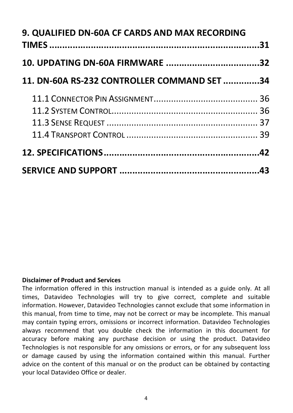| 9. QUALIFIED DN-60A CF CARDS AND MAX RECORDING |  |
|------------------------------------------------|--|
|                                                |  |
| 11. DN-60A RS-232 CONTROLLER COMMAND SET34     |  |
|                                                |  |
|                                                |  |
|                                                |  |
|                                                |  |
|                                                |  |
|                                                |  |

#### **Disclaimer of Product and Services**

The information offered in this instruction manual is intended as a guide only. At all times, Datavideo Technologies will try to give correct, complete and suitable information. However, Datavideo Technologies cannot exclude that some information in this manual, from time to time, may not be correct or may be incomplete. This manual may contain typing errors, omissions or incorrect information. Datavideo Technologies always recommend that you double check the information in this document for accuracy before making any purchase decision or using the product. Datavideo Technologies is not responsible for any omissions or errors, or for any subsequent loss or damage caused by using the information contained within this manual. Further advice on the content of this manual or on the product can be obtained by contacting your local Datavideo Office or dealer.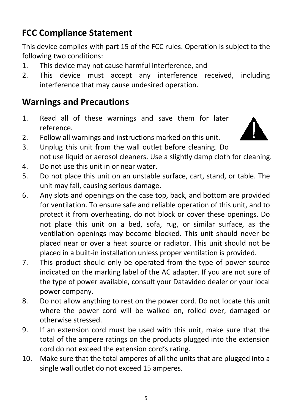# <span id="page-4-0"></span>**FCC Compliance Statement**

This device complies with part 15 of the FCC rules. Operation is subject to the following two conditions:

- 1. This device may not cause harmful interference, and
- 2. This device must accept any interference received, including interference that may cause undesired operation.

### <span id="page-4-1"></span>**Warnings and Precautions**

- 1. Read all of these warnings and save them for later reference.
- 2. Follow all warnings and instructions marked on this unit.



- 3. Unplug this unit from the wall outlet before cleaning. Do not use liquid or aerosol cleaners. Use a slightly damp cloth for cleaning.
- 4. Do not use this unit in or near water.
- 5. Do not place this unit on an unstable surface, cart, stand, or table. The unit may fall, causing serious damage.
- 6. Any slots and openings on the case top, back, and bottom are provided for ventilation. To ensure safe and reliable operation of this unit, and to protect it from overheating, do not block or cover these openings. Do not place this unit on a bed, sofa, rug, or similar surface, as the ventilation openings may become blocked. This unit should never be placed near or over a heat source or radiator. This unit should not be placed in a built-in installation unless proper ventilation is provided.
- 7. This product should only be operated from the type of power source indicated on the marking label of the AC adapter. If you are not sure of the type of power available, consult your Datavideo dealer or your local power company.
- 8. Do not allow anything to rest on the power cord. Do not locate this unit where the power cord will be walked on, rolled over, damaged or otherwise stressed.
- 9. If an extension cord must be used with this unit, make sure that the total of the ampere ratings on the products plugged into the extension cord do not exceed the extension cord's rating.
- 10. Make sure that the total amperes of all the units that are plugged into a single wall outlet do not exceed 15 amperes.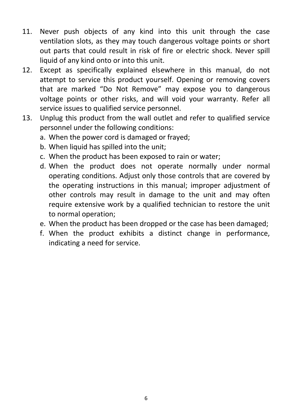- 11. Never push objects of any kind into this unit through the case ventilation slots, as they may touch dangerous voltage points or short out parts that could result in risk of fire or electric shock. Never spill liquid of any kind onto or into this unit.
- 12. Except as specifically explained elsewhere in this manual, do not attempt to service this product yourself. Opening or removing covers that are marked "Do Not Remove" may expose you to dangerous voltage points or other risks, and will void your warranty. Refer all service issues to qualified service personnel.
- 13. Unplug this product from the wall outlet and refer to qualified service personnel under the following conditions:
	- a. When the power cord is damaged or frayed;
	- b. When liquid has spilled into the unit;
	- c. When the product has been exposed to rain or water;
	- d. When the product does not operate normally under normal operating conditions. Adjust only those controls that are covered by the operating instructions in this manual; improper adjustment of other controls may result in damage to the unit and may often require extensive work by a qualified technician to restore the unit to normal operation;
	- e. When the product has been dropped or the case has been damaged;
	- f. When the product exhibits a distinct change in performance, indicating a need for service.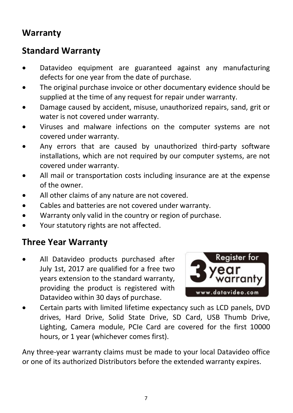### <span id="page-6-0"></span>**Warranty**

#### <span id="page-6-1"></span>**Standard Warranty**

- Datavideo equipment are guaranteed against any manufacturing defects for one year from the date of purchase.
- The original purchase invoice or other documentary evidence should be supplied at the time of any request for repair under warranty.
- Damage caused by accident, misuse, unauthorized repairs, sand, grit or water is not covered under warranty.
- Viruses and malware infections on the computer systems are not covered under warranty.
- Any errors that are caused by unauthorized third-party software installations, which are not required by our computer systems, are not covered under warranty.
- All mail or transportation costs including insurance are at the expense of the owner.
- All other claims of any nature are not covered.
- Cables and batteries are not covered under warranty.
- Warranty only valid in the country or region of purchase.
- Your statutory rights are not affected.

#### <span id="page-6-2"></span>**Three Year Warranty**

All Datavideo products purchased after July 1st, 2017 are qualified for a free two years extension to the standard warranty, providing the product is registered with Datavideo within 30 days of purchase.



• Certain parts with limited lifetime expectancy such as LCD panels, DVD drives, Hard Drive, Solid State Drive, SD Card, USB Thumb Drive, Lighting, Camera module, PCIe Card are covered for the first 10000 hours, or 1 year (whichever comes first).

Any three-year warranty claims must be made to your local Datavideo office or one of its authorized Distributors before the extended warranty expires.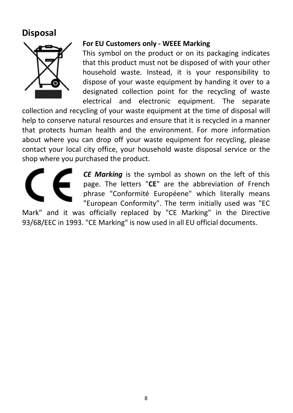#### <span id="page-7-0"></span>**Disposal**



#### **For EU Customers only - WEEE Marking**

This symbol on the product or on its packaging indicates that this product must not be disposed of with your other household waste. Instead, it is your responsibility to dispose of your waste equipment by handing it over to a designated collection point for the recycling of waste electrical and electronic equipment. The separate

collection and recycling of your waste equipment at the time of disposal will help to conserve natural resources and ensure that it is recycled in a manner that protects human health and the environment. For more information about where you can drop off your waste equipment for recycling, please contact your local city office, your household waste disposal service or the shop where you purchased the product.



*CE Marking* is the symbol as shown on the left of this page. The letters "**CE**" are the abbreviation of French phrase "Conformité Européene" which literally means "European Conformity". The term initially used was "EC

Mark" and it was officially replaced by "CE Marking" in the Directive 93/68/EEC in 1993. "CE Marking" is now used in all EU official documents.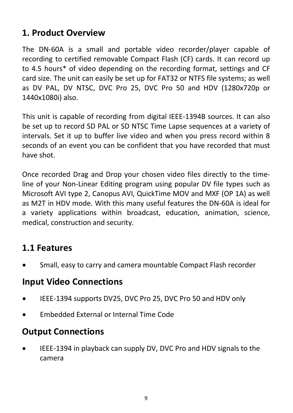### <span id="page-8-0"></span>**1. Product Overview**

The DN-60A is a small and portable video recorder/player capable of recording to certified removable Compact Flash (CF) cards. It can record up to 4.5 hours\* of video depending on the recording format, settings and CF card size. The unit can easily be set up for FAT32 or NTFS file systems; as well as DV PAL, DV NTSC, DVC Pro 25, DVC Pro 50 and HDV (1280x720p or 1440x1080i) also.

This unit is capable of recording from digital IEEE-1394B sources. It can also be set up to record SD PAL or SD NTSC Time Lapse sequences at a variety of intervals. Set it up to buffer live video and when you press record within 8 seconds of an event you can be confident that you have recorded that must have shot.

Once recorded Drag and Drop your chosen video files directly to the timeline of your Non-Linear Editing program using popular DV file types such as Microsoft AVI type 2, Canopus AVI, QuickTime MOV and MXF (OP 1A) as well as M2T in HDV mode. With this many useful features the DN-60A is ideal for a variety applications within broadcast, education, animation, science, medical, construction and security.

### <span id="page-8-1"></span>**1.1 Features**

• Small, easy to carry and camera mountable Compact Flash recorder

#### **Input Video Connections**

- IEEE-1394 supports DV25, DVC Pro 25, DVC Pro 50 and HDV only
- Embedded External or Internal Time Code

# **Output Connections**

• IEEE-1394 in playback can supply DV, DVC Pro and HDV signals to the camera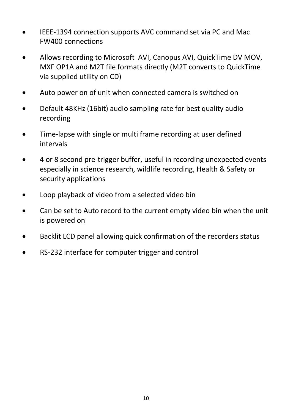- IEEE-1394 connection supports AVC command set via PC and Mac FW400 connections
- Allows recording to Microsoft AVI, Canopus AVI, QuickTime DV MOV, MXF OP1A and M2T file formats directly (M2T converts to QuickTime via supplied utility on CD)
- Auto power on of unit when connected camera is switched on
- Default 48KHz (16bit) audio sampling rate for best quality audio recording
- Time-lapse with single or multi frame recording at user defined intervals
- 4 or 8 second pre-trigger buffer, useful in recording unexpected events especially in science research, wildlife recording, Health & Safety or security applications
- Loop playback of video from a selected video bin
- Can be set to Auto record to the current empty video bin when the unit is powered on
- Backlit LCD panel allowing quick confirmation of the recorders status
- RS-232 interface for computer trigger and control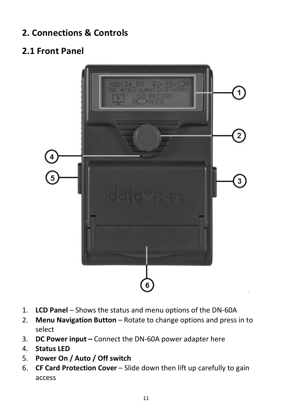# <span id="page-10-0"></span>**2. Connections & Controls**

# <span id="page-10-1"></span>**2.1 Front Panel**



- 1. **LCD Panel** Shows the status and menu options of the DN-60A
- 2. **Menu Navigation Button** Rotate to change options and press in to select
- 3. **DC Power input –** Connect the DN-60A power adapter here
- 4. **Status LED**
- 5. **Power On / Auto / Off switch**
- 6. **CF Card Protection Cover** Slide down then lift up carefully to gain access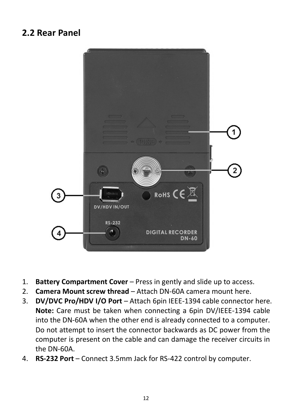#### <span id="page-11-0"></span>**2.2 Rear Panel**



- 1. **Battery Compartment Cover** Press in gently and slide up to access.
- 2. **Camera Mount screw thread** Attach DN-60A camera mount here.
- 3. **DV/DVC Pro/HDV I/O Port**  Attach 6pin IEEE-1394 cable connector here. **Note:** Care must be taken when connecting a 6pin DV/IEEE-1394 cable into the DN-60A when the other end is already connected to a computer. Do not attempt to insert the connector backwards as DC power from the computer is present on the cable and can damage the receiver circuits in the DN-60A.
- 4. **RS-232 Port** Connect 3.5mm Jack for RS-422 control by computer.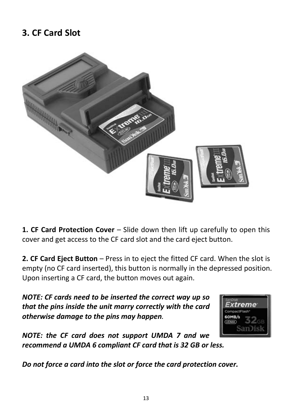### <span id="page-12-0"></span>**3. CF Card Slot**



**1. CF Card Protection Cover** – Slide down then lift up carefully to open this cover and get access to the CF card slot and the card eject button.

**2. CF Card Eject Button** – Press in to eject the fitted CF card. When the slot is empty (no CF card inserted), this button is normally in the depressed position. Upon inserting a CF card, the button moves out again.

*NOTE: CF cards need to be inserted the correct way up so that the pins inside the unit marry correctly with the card otherwise damage to the pins may happen.*



*NOTE: the CF card does not support UMDA 7 and we recommend a UMDA 6 compliant CF card that is 32 GB or less.*

*Do not force a card into the slot or force the card protection cover.*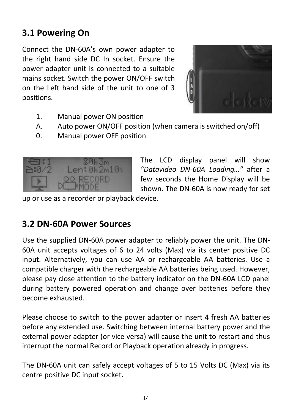# <span id="page-13-0"></span>**3.1 Powering On**

Connect the DN-60A's own power adapter to the right hand side DC In socket. Ensure the power adapter unit is connected to a suitable mains socket. Switch the power ON/OFF switch on the Left hand side of the unit to one of 3 positions.



- 1. Manual power ON position
- A. Auto power ON/OFF position (when camera is switched on/off)
- 0. Manual power OFF position



The LCD display panel will show *"Datavideo DN-60A Loading…"* after a few seconds the Home Display will be shown. The DN-60A is now ready for set

up or use as a recorder or playback device.

#### <span id="page-13-1"></span>**3.2 DN-60A Power Sources**

Use the supplied DN-60A power adapter to reliably power the unit. The DN-60A unit accepts voltages of 6 to 24 volts (Max) via its center positive DC input. Alternatively, you can use AA or rechargeable AA batteries. Use a compatible charger with the rechargeable AA batteries being used. However, please pay close attention to the battery indicator on the DN-60A LCD panel during battery powered operation and change over batteries before they become exhausted.

Please choose to switch to the power adapter or insert 4 fresh AA batteries before any extended use. Switching between internal battery power and the external power adapter (or vice versa) will cause the unit to restart and thus interrupt the normal Record or Playback operation already in progress.

The DN-60A unit can safely accept voltages of 5 to 15 Volts DC (Max) via its centre positive DC input socket.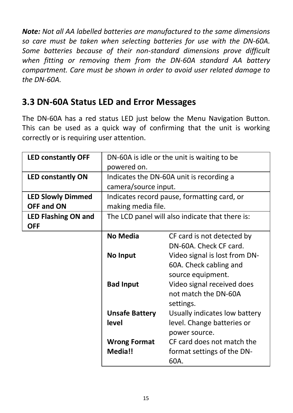*Note: Not all AA labelled batteries are manufactured to the same dimensions so care must be taken when selecting batteries for use with the DN-60A. Some batteries because of their non-standard dimensions prove difficult when fitting or removing them from the DN-60A standard AA battery compartment. Care must be shown in order to avoid user related damage to the DN-60A.*

### <span id="page-14-0"></span>**3.3 DN-60A Status LED and Error Messages**

The DN-60A has a red status LED just below the Menu Navigation Button. This can be used as a quick way of confirming that the unit is working correctly or is requiring user attention.

| <b>LED constantly OFF</b>  |                       | DN-60A is idle or the unit is waiting to be     |
|----------------------------|-----------------------|-------------------------------------------------|
|                            | powered on.           |                                                 |
| <b>LED constantly ON</b>   |                       | Indicates the DN-60A unit is recording a        |
|                            | camera/source input.  |                                                 |
| <b>LED Slowly Dimmed</b>   |                       | Indicates record pause, formatting card, or     |
| OFF and ON                 | making media file.    |                                                 |
| <b>LED Flashing ON and</b> |                       | The LCD panel will also indicate that there is: |
| <b>OFF</b>                 |                       |                                                 |
|                            | No Media              | CF card is not detected by                      |
|                            |                       | DN-60A. Check CF card.                          |
|                            | No Input              | Video signal is lost from DN-                   |
|                            |                       | 60A. Check cabling and                          |
|                            |                       | source equipment.                               |
|                            | <b>Bad Input</b>      | Video signal received does                      |
|                            |                       | not match the DN-60A                            |
|                            |                       | settings.                                       |
|                            | <b>Unsafe Battery</b> | Usually indicates low battery                   |
|                            | level                 | level. Change batteries or                      |
|                            |                       | power source.                                   |
|                            | <b>Wrong Format</b>   | CF card does not match the                      |
|                            | Media!!               | format settings of the DN-                      |
|                            |                       | 60A.                                            |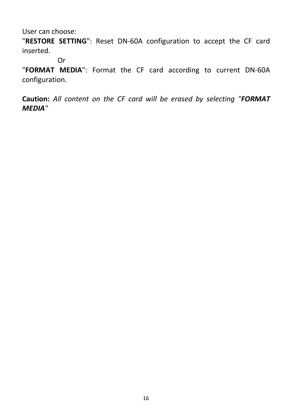User can choose:

"**RESTORE SETTING**": Reset DN-60A configuration to accept the CF card inserted.

Or

"**FORMAT MEDIA**": Format the CF card according to current DN-60A configuration.

**Caution:** *All content on the CF card will be erased by selecting "FORMAT MEDIA"*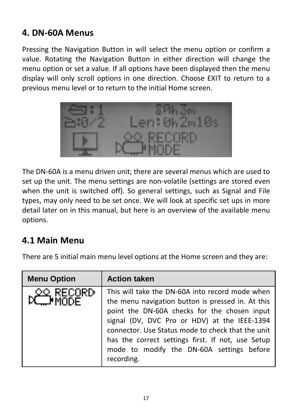### <span id="page-16-0"></span>**4. DN-60A Menus**

Pressing the Navigation Button in will select the menu option or confirm a value. Rotating the Navigation Button in either direction will change the menu option or set a value. If all options have been displayed then the menu display will only scroll options in one direction. Choose EXIT to return to a previous menu level or to return to the initial Home screen.



The DN-60A is a menu driven unit; there are several menus which are used to set up the unit. The menu settings are non-volatile (settings are stored even when the unit is switched off). So general settings, such as Signal and File types, may only need to be set once. We will look at specific set ups in more detail later on in this manual, but here is an overview of the available menu options.

### <span id="page-16-1"></span>**4.1 Main Menu**

There are 5 initial main menu level options at the Home screen and they are:

| <b>Menu Option</b> | <b>Action taken</b>                                                                                                                                                                                                                                                                                                                                                       |
|--------------------|---------------------------------------------------------------------------------------------------------------------------------------------------------------------------------------------------------------------------------------------------------------------------------------------------------------------------------------------------------------------------|
| RECORD             | This will take the DN-60A into record mode when<br>the menu navigation button is pressed in. At this<br>point the DN-60A checks for the chosen input<br>signal (DV, DVC Pro or HDV) at the IEEE-1394<br>connector. Use Status mode to check that the unit<br>has the correct settings first. If not, use Setup<br>mode to modify the DN-60A settings before<br>recording. |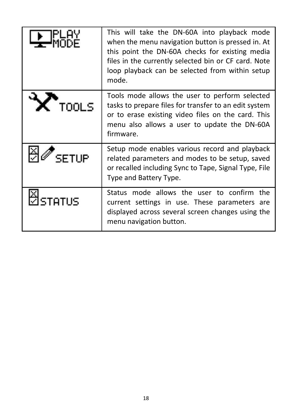| 그대부                        | This will take the DN-60A into playback mode<br>when the menu navigation button is pressed in. At<br>this point the DN-60A checks for existing media<br>files in the currently selected bin or CF card. Note<br>loop playback can be selected from within setup<br>mode. |
|----------------------------|--------------------------------------------------------------------------------------------------------------------------------------------------------------------------------------------------------------------------------------------------------------------------|
| $\mathbf{X}_{\text{rows}}$ | Tools mode allows the user to perform selected<br>tasks to prepare files for transfer to an edit system<br>or to erase existing video files on the card. This<br>menu also allows a user to update the DN-60A<br>firmware.                                               |
| SETUP                      | Setup mode enables various record and playback<br>related parameters and modes to be setup, saved<br>or recalled including Sync to Tape, Signal Type, File<br>Type and Battery Type.                                                                                     |
| ป็รтคт∪ร                   | Status mode allows the user to confirm the<br>current settings in use. These parameters are<br>displayed across several screen changes using the<br>menu navigation button.                                                                                              |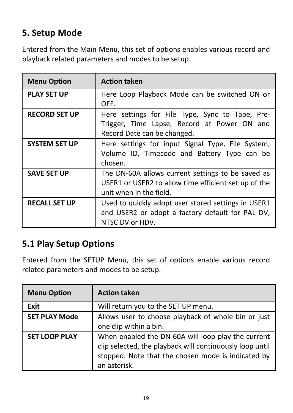# <span id="page-18-0"></span>**5. Setup Mode**

Entered from the Main Menu, this set of options enables various record and playback related parameters and modes to be setup.

| <b>Menu Option</b>   | <b>Action taken</b>                                                                                                                  |
|----------------------|--------------------------------------------------------------------------------------------------------------------------------------|
| <b>PLAY SET UP</b>   | Here Loop Playback Mode can be switched ON or<br>OFF.                                                                                |
| <b>RECORD SET UP</b> | Here settings for File Type, Sync to Tape, Pre-<br>Trigger, Time Lapse, Record at Power ON and<br>Record Date can be changed.        |
| <b>SYSTEM SET UP</b> | Here settings for input Signal Type, File System,<br>Volume ID, Timecode and Battery Type can be<br>chosen.                          |
| <b>SAVE SET UP</b>   | The DN-60A allows current settings to be saved as<br>USER1 or USER2 to allow time efficient set up of the<br>unit when in the field. |
| <b>RECALL SET UP</b> | Used to quickly adopt user stored settings in USER1<br>and USER2 or adopt a factory default for PAL DV,<br>NTSC DV or HDV.           |

### <span id="page-18-1"></span>**5.1 Play Setup Options**

Entered from the SETUP Menu, this set of options enable various record related parameters and modes to be setup.

| <b>Menu Option</b>   | <b>Action taken</b>                                                                                                                                                                  |
|----------------------|--------------------------------------------------------------------------------------------------------------------------------------------------------------------------------------|
| Exit                 | Will return you to the SET UP menu.                                                                                                                                                  |
| <b>SET PLAY Mode</b> | Allows user to choose playback of whole bin or just<br>one clip within a bin.                                                                                                        |
| <b>SET LOOP PLAY</b> | When enabled the DN-60A will loop play the current<br>clip selected, the playback will continuously loop until<br>stopped. Note that the chosen mode is indicated by<br>an asterisk. |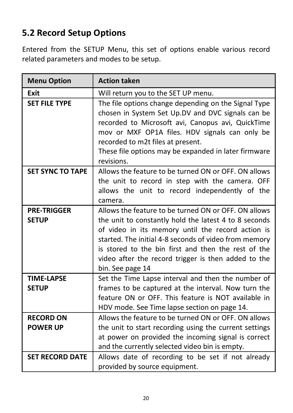# <span id="page-19-0"></span>**5.2 Record Setup Options**

Entered from the SETUP Menu, this set of options enable various record related parameters and modes to be setup.

| <b>Menu Option</b>                  | <b>Action taken</b>                                                                                                                                                                                                                                                                                                                                           |
|-------------------------------------|---------------------------------------------------------------------------------------------------------------------------------------------------------------------------------------------------------------------------------------------------------------------------------------------------------------------------------------------------------------|
| Fxit                                | Will return you to the SET UP menu.                                                                                                                                                                                                                                                                                                                           |
| <b>SET FILE TYPE</b>                | The file options change depending on the Signal Type<br>chosen in System Set Up.DV and DVC signals can be<br>recorded to Microsoft avi, Canopus avi, QuickTime<br>mov or MXF OP1A files. HDV signals can only be<br>recorded to m2t files at present.<br>These file options may be expanded in later firmware<br>revisions.                                   |
| <b>SET SYNC TO TAPE</b>             | Allows the feature to be turned ON or OFF. ON allows<br>the unit to record in step with the camera. OFF<br>allows the unit to record independently of the<br>camera.                                                                                                                                                                                          |
| <b>PRE-TRIGGER</b><br><b>SETUP</b>  | Allows the feature to be turned ON or OFF. ON allows<br>the unit to constantly hold the latest 4 to 8 seconds<br>of video in its memory until the record action is<br>started. The initial 4-8 seconds of video from memory<br>is stored to the bin first and then the rest of the<br>video after the record trigger is then added to the<br>bin. See page 14 |
| <b>TIME LAPSE</b><br><b>SETUP</b>   | Set the Time Lapse interval and then the number of<br>frames to be captured at the interval. Now turn the<br>feature ON or OFF. This feature is NOT available in<br>HDV mode. See Time lapse section on page 14.                                                                                                                                              |
| <b>RECORD ON</b><br><b>POWER UP</b> | Allows the feature to be turned ON or OFF. ON allows<br>the unit to start recording using the current settings<br>at power on provided the incoming signal is correct<br>and the currently selected video bin is empty.                                                                                                                                       |
| <b>SET RECORD DATE</b>              | Allows date of recording to be set if not already<br>provided by source equipment.                                                                                                                                                                                                                                                                            |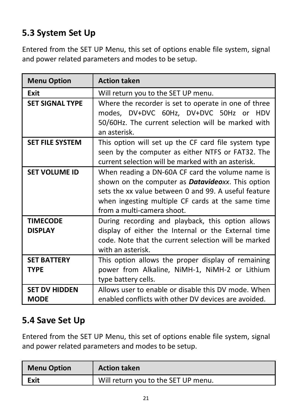# <span id="page-20-0"></span>**5.3 System Set Up**

Entered from the SET UP Menu, this set of options enable file system, signal and power related parameters and modes to be setup.

| <b>Menu Option</b>                  | <b>Action taken</b>                                                                                                                                                                                                                                      |
|-------------------------------------|----------------------------------------------------------------------------------------------------------------------------------------------------------------------------------------------------------------------------------------------------------|
| Exit                                | Will return you to the SET UP menu.                                                                                                                                                                                                                      |
| <b>SET SIGNAL TYPE</b>              | Where the recorder is set to operate in one of three<br>modes, DV+DVC 60Hz, DV+DVC 50Hz or HDV<br>50/60Hz. The current selection will be marked with<br>an asterisk.                                                                                     |
| <b>SET FILE SYSTEM</b>              | This option will set up the CF card file system type<br>seen by the computer as either NTFS or FAT32. The<br>current selection will be marked with an asterisk.                                                                                          |
| <b>SET VOLUME ID</b>                | When reading a DN-60A CF card the volume name is<br>shown on the computer as <b>Datavideo</b> xx. This option<br>sets the xx value between 0 and 99. A useful feature<br>when ingesting multiple CF cards at the same time<br>from a multi-camera shoot. |
| <b>TIMECODE</b><br><b>DISPLAY</b>   | During recording and playback, this option allows<br>display of either the Internal or the External time<br>code. Note that the current selection will be marked<br>with an asterisk.                                                                    |
| <b>SFT BATTERY</b><br><b>TYPF</b>   | This option allows the proper display of remaining<br>power from Alkaline, NiMH-1, NiMH-2 or Lithium<br>type battery cells.                                                                                                                              |
| <b>SET DV HIDDEN</b><br><b>MODE</b> | Allows user to enable or disable this DV mode. When<br>enabled conflicts with other DV devices are avoided.                                                                                                                                              |

### <span id="page-20-1"></span>**5.4 Save Set Up**

Entered from the SET UP Menu, this set of options enable file system, signal and power related parameters and modes to be setup.

| <b>Menu Option</b> | <b>Action taken</b>                 |
|--------------------|-------------------------------------|
| Exit               | Will return you to the SET UP menu. |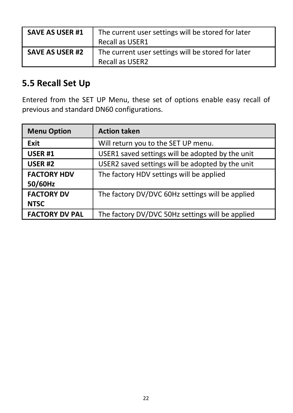| <b>SAVE AS USER #1</b> | The current user settings will be stored for later<br>Recall as USER1 |
|------------------------|-----------------------------------------------------------------------|
| <b>SAVE AS USER #2</b> | The current user settings will be stored for later<br>Recall as USER2 |

### <span id="page-21-0"></span>**5.5 Recall Set Up**

Entered from the SET UP Menu, these set of options enable easy recall of previous and standard DN60 configurations.

| <b>Menu Option</b>               | <b>Action taken</b>                              |
|----------------------------------|--------------------------------------------------|
| Exit                             | Will return you to the SET UP menu.              |
| <b>USER #1</b>                   | USER1 saved settings will be adopted by the unit |
| USER <sub>#2</sub>               | USER2 saved settings will be adopted by the unit |
| <b>FACTORY HDV</b><br>50/60Hz    | The factory HDV settings will be applied         |
| <b>FACTORY DV</b><br><b>NTSC</b> | The factory DV/DVC 60Hz settings will be applied |
| <b>FACTORY DV PAL</b>            | The factory DV/DVC 50Hz settings will be applied |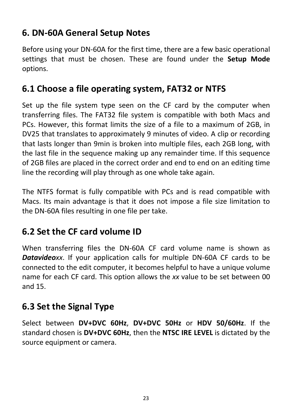# <span id="page-22-0"></span>**6. DN-60A General Setup Notes**

Before using your DN-60A for the first time, there are a few basic operational settings that must be chosen. These are found under the **Setup Mode** options.

#### <span id="page-22-1"></span>**6.1 Choose a file operating system, FAT32 or NTFS**

Set up the file system type seen on the CF card by the computer when transferring files. The FAT32 file system is compatible with both Macs and PCs. However, this format limits the size of a file to a maximum of 2GB, in DV25 that translates to approximately 9 minutes of video. A clip or recording that lasts longer than 9min is broken into multiple files, each 2GB long, with the last file in the sequence making up any remainder time. If this sequence of 2GB files are placed in the correct order and end to end on an editing time line the recording will play through as one whole take again.

The NTFS format is fully compatible with PCs and is read compatible with Macs. Its main advantage is that it does not impose a file size limitation to the DN-60A files resulting in one file per take.

# <span id="page-22-2"></span>**6.2 Set the CF card volume ID**

When transferring files the DN-60A CF card volume name is shown as *Datavideoxx*. If your application calls for multiple DN-60A CF cards to be connected to the edit computer, it becomes helpful to have a unique volume name for each CF card. This option allows the *xx* value to be set between 00 and 15.

# <span id="page-22-3"></span>**6.3 Set the Signal Type**

Select between **DV+DVC 60Hz**, **DV+DVC 50Hz** or **HDV 50/60Hz**. If the standard chosen is **DV+DVC 60Hz**, then the **NTSC IRE LEVEL** is dictated by the source equipment or camera.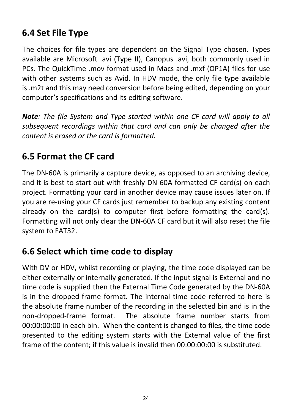# <span id="page-23-0"></span>**6.4 Set File Type**

The choices for file types are dependent on the Signal Type chosen. Types available are Microsoft .avi (Type II), Canopus .avi, both commonly used in PCs. The QuickTime .mov format used in Macs and .mxf (OP1A) files for use with other systems such as Avid. In HDV mode, the only file type available is .m2t and this may need conversion before being edited, depending on your computer's specifications and its editing software.

*Note: The file System and Type started within one CF card will apply to all subsequent recordings within that card and can only be changed after the content is erased or the card is formatted.*

### <span id="page-23-1"></span>**6.5 Format the CF card**

The DN-60A is primarily a capture device, as opposed to an archiving device, and it is best to start out with freshly DN-60A formatted CF card(s) on each project. Formatting your card in another device may cause issues later on. If you are re-using your CF cards just remember to backup any existing content already on the card(s) to computer first before formatting the card(s). Formatting will not only clear the DN-60A CF card but it will also reset the file system to FAT32.

### <span id="page-23-2"></span>**6.6 Select which time code to display**

With DV or HDV, whilst recording or playing, the time code displayed can be either externally or internally generated. If the input signal is External and no time code is supplied then the External Time Code generated by the DN-60A is in the dropped-frame format. The internal time code referred to here is the absolute frame number of the recording in the selected bin and is in the non-dropped-frame format. The absolute frame number starts from 00:00:00:00 in each bin. When the content is changed to files, the time code presented to the editing system starts with the External value of the first frame of the content; if this value is invalid then 00:00:00:00 is substituted.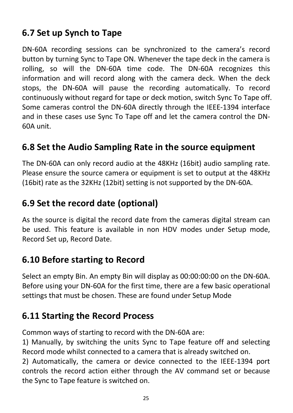# <span id="page-24-0"></span>**6.7 Set up Synch to Tape**

DN-60A recording sessions can be synchronized to the camera's record button by turning Sync to Tape ON. Whenever the tape deck in the camera is rolling, so will the DN-60A time code. The DN-60A recognizes this information and will record along with the camera deck. When the deck stops, the DN-60A will pause the recording automatically. To record continuously without regard for tape or deck motion, switch Sync To Tape off. Some cameras control the DN-60A directly through the IEEE-1394 interface and in these cases use Sync To Tape off and let the camera control the DN-60A unit.

### <span id="page-24-1"></span>**6.8 Set the Audio Sampling Rate in the source equipment**

The DN-60A can only record audio at the 48KHz (16bit) audio sampling rate. Please ensure the source camera or equipment is set to output at the 48KHz (16bit) rate as the 32KHz (12bit) setting is not supported by the DN-60A.

# <span id="page-24-2"></span>**6.9 Set the record date (optional)**

As the source is digital the record date from the cameras digital stream can be used. This feature is available in non HDV modes under Setup mode, Record Set up, Record Date.

#### <span id="page-24-3"></span>**6.10 Before starting to Record**

Select an empty Bin. An empty Bin will display as 00:00:00:00 on the DN-60A. Before using your DN-60A for the first time, there are a few basic operational settings that must be chosen. These are found under Setup Mode

#### <span id="page-24-4"></span>**6.11 Starting the Record Process**

Common ways of starting to record with the DN-60A are:

1) Manually, by switching the units Sync to Tape feature off and selecting Record mode whilst connected to a camera that is already switched on.

2) Automatically, the camera or device connected to the IEEE-1394 port controls the record action either through the AV command set or because the Sync to Tape feature is switched on.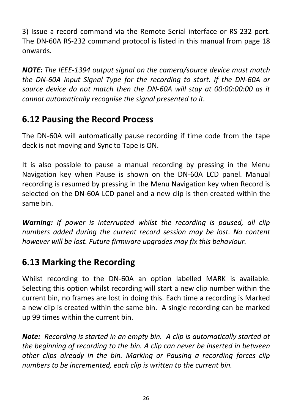3) Issue a record command via the Remote Serial interface or RS-232 port. The DN-60A RS-232 command protocol is listed in this manual from page 18 onwards.

*NOTE: The IEEE-1394 output signal on the camera/source device must match the DN-60A input Signal Type for the recording to start. If the DN-60A or source device do not match then the DN-60A will stay at 00:00:00:00 as it cannot automatically recognise the signal presented to it.*

# <span id="page-25-0"></span>**6.12 Pausing the Record Process**

The DN-60A will automatically pause recording if time code from the tape deck is not moving and Sync to Tape is ON.

It is also possible to pause a manual recording by pressing in the Menu Navigation key when Pause is shown on the DN-60A LCD panel. Manual recording is resumed by pressing in the Menu Navigation key when Record is selected on the DN-60A LCD panel and a new clip is then created within the same bin.

*Warning: If power is interrupted whilst the recording is paused, all clip numbers added during the current record session may be lost. No content however will be lost. Future firmware upgrades may fix this behaviour.*

# <span id="page-25-1"></span>**6.13 Marking the Recording**

Whilst recording to the DN-60A an option labelled MARK is available. Selecting this option whilst recording will start a new clip number within the current bin, no frames are lost in doing this. Each time a recording is Marked a new clip is created within the same bin. A single recording can be marked up 99 times within the current bin.

*Note: Recording is started in an empty bin. A clip is automatically started at the beginning of recording to the bin. A clip can never be inserted in between other clips already in the bin. Marking or Pausing a recording forces clip numbers to be incremented, each clip is written to the current bin.*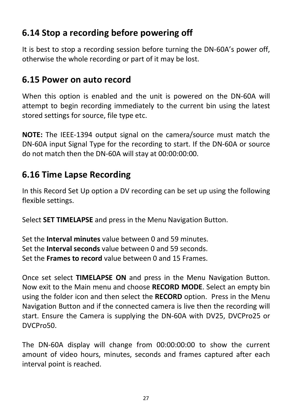# <span id="page-26-0"></span>**6.14 Stop a recording before powering off**

It is best to stop a recording session before turning the DN-60A's power off, otherwise the whole recording or part of it may be lost.

### <span id="page-26-1"></span>**6.15 Power on auto record**

When this option is enabled and the unit is powered on the DN-60A will attempt to begin recording immediately to the current bin using the latest stored settings for source, file type etc.

**NOTE:** The IEEE-1394 output signal on the camera/source must match the DN-60A input Signal Type for the recording to start. If the DN-60A or source do not match then the DN-60A will stay at 00:00:00:00.

### <span id="page-26-2"></span>**6.16 Time Lapse Recording**

In this Record Set Up option a DV recording can be set up using the following flexible settings.

Select **SET TIMELAPSE** and press in the Menu Navigation Button.

Set the **Interval minutes** value between 0 and 59 minutes. Set the **Interval seconds** value between 0 and 59 seconds. Set the **Frames to record** value between 0 and 15 Frames.

Once set select **TIMELAPSE ON** and press in the Menu Navigation Button. Now exit to the Main menu and choose **RECORD MODE**. Select an empty bin using the folder icon and then select the **RECORD** option. Press in the Menu Navigation Button and if the connected camera is live then the recording will start. Ensure the Camera is supplying the DN-60A with DV25, DVCPro25 or DVCPro50.

The DN-60A display will change from 00:00:00:00 to show the current amount of video hours, minutes, seconds and frames captured after each interval point is reached.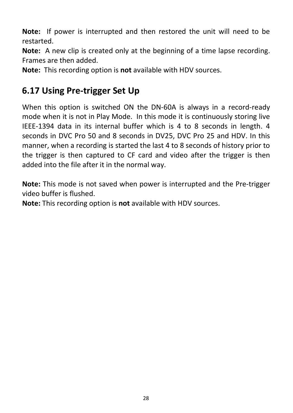**Note:** If power is interrupted and then restored the unit will need to be restarted.

**Note:** A new clip is created only at the beginning of a time lapse recording. Frames are then added.

**Note:** This recording option is **not** available with HDV sources.

### <span id="page-27-0"></span>**6.17 Using Pre-trigger Set Up**

When this option is switched ON the DN-60A is always in a record-ready mode when it is not in Play Mode. In this mode it is continuously storing live IEEE-1394 data in its internal buffer which is 4 to 8 seconds in length. 4 seconds in DVC Pro 50 and 8 seconds in DV25, DVC Pro 25 and HDV. In this manner, when a recording is started the last 4 to 8 seconds of history prior to the trigger is then captured to CF card and video after the trigger is then added into the file after it in the normal way.

**Note:** This mode is not saved when power is interrupted and the Pre-trigger video buffer is flushed.

**Note:** This recording option is **not** available with HDV sources.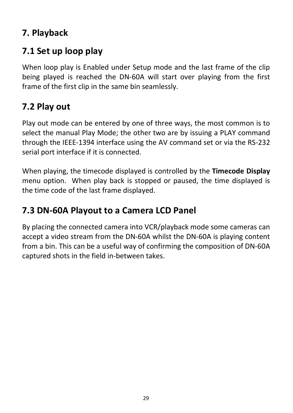# <span id="page-28-0"></span>**7. Playback**

# <span id="page-28-1"></span>**7.1 Set up loop play**

When loop play is Enabled under Setup mode and the last frame of the clip being played is reached the DN-60A will start over playing from the first frame of the first clip in the same bin seamlessly.

### <span id="page-28-2"></span>**7.2 Play out**

Play out mode can be entered by one of three ways, the most common is to select the manual Play Mode; the other two are by issuing a PLAY command through the IEEE-1394 interface using the AV command set or via the RS-232 serial port interface if it is connected.

When playing, the timecode displayed is controlled by the **Timecode Display**  menu option. When play back is stopped or paused, the time displayed is the time code of the last frame displayed.

#### <span id="page-28-3"></span>**7.3 DN-60A Playout to a Camera LCD Panel**

By placing the connected camera into VCR/playback mode some cameras can accept a video stream from the DN-60A whilst the DN-60A is playing content from a bin. This can be a useful way of confirming the composition of DN-60A captured shots in the field in-between takes.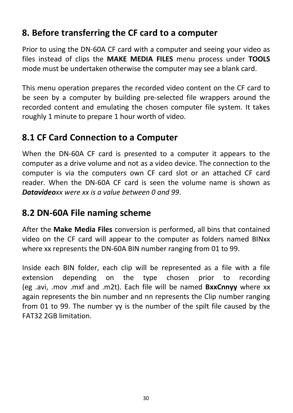### <span id="page-29-0"></span>**8. Before transferring the CF card to a computer**

Prior to using the DN-60A CF card with a computer and seeing your video as files instead of clips the **MAKE MEDIA FILES** menu process under **TOOLS** mode must be undertaken otherwise the computer may see a blank card.

This menu operation prepares the recorded video content on the CF card to be seen by a computer by building pre-selected file wrappers around the recorded content and emulating the chosen computer file system. It takes roughly 1 minute to prepare 1 hour worth of video.

### <span id="page-29-1"></span>**8.1 CF Card Connection to a Computer**

When the DN-60A CF card is presented to a computer it appears to the computer as a drive volume and not as a video device. The connection to the computer is via the computers own CF card slot or an attached CF card reader. When the DN-60A CF card is seen the volume name is shown as *Datavideoxx were xx is a value between 0 and 99*.

### <span id="page-29-2"></span>**8.2 DN-60A File naming scheme**

After the **Make Media Files** conversion is performed, all bins that contained video on the CF card will appear to the computer as folders named BINxx where xx represents the DN-60A BIN number ranging from 01 to 99.

Inside each BIN folder, each clip will be represented as a file with a file extension depending on the type chosen prior to recording (eg .avi, .mov .mxf and .m2t). Each file will be named **BxxCnnyy** where xx again represents the bin number and nn represents the Clip number ranging from 01 to 99. The number yy is the number of the spilt file caused by the FAT32 2GB limitation.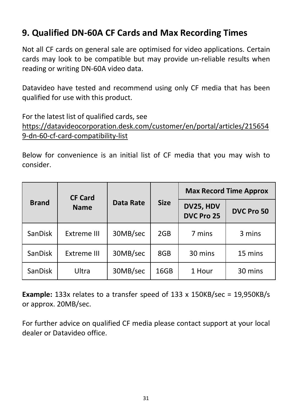# <span id="page-30-0"></span>**9. Qualified DN-60A CF Cards and Max Recording Times**

Not all CF cards on general sale are optimised for video applications. Certain cards may look to be compatible but may provide un-reliable results when reading or writing DN-60A video data.

Datavideo have tested and recommend using only CF media that has been qualified for use with this product.

For the latest list of qualified cards, see [https://datavideocorporation.desk.com/customer/en/portal/articles/215654](https://datavideocorporation.desk.com/customer/en/portal/articles/2156549-dn-60-cf-card-compatibility-list) [9-dn-60-cf-card-compatibility-list](https://datavideocorporation.desk.com/customer/en/portal/articles/2156549-dn-60-cf-card-compatibility-list)

Below for convenience is an initial list of CF media that you may wish to consider.

|                | <b>CF Card</b> |           | <b>Size</b> | <b>Max Record Time Approx</b> |            |
|----------------|----------------|-----------|-------------|-------------------------------|------------|
| <b>Brand</b>   | <b>Name</b>    | Data Rate |             | DV25, HDV<br>DVC Pro 25       | DVC Pro 50 |
| <b>SanDisk</b> | Extreme III    | 30MB/sec  | 2GB         | 7 mins                        | 3 mins     |
| SanDisk        | Extreme III    | 30MB/sec  | 8GB         | 30 mins                       | 15 mins    |
| <b>SanDisk</b> | Ultra          | 30MB/sec  | 16GB        | 1 Hour                        | 30 mins    |

**Example:** 133x relates to a transfer speed of 133 x 150KB/sec = 19,950KB/s or approx. 20MB/sec.

For further advice on qualified CF media please contact support at your local dealer or Datavideo office.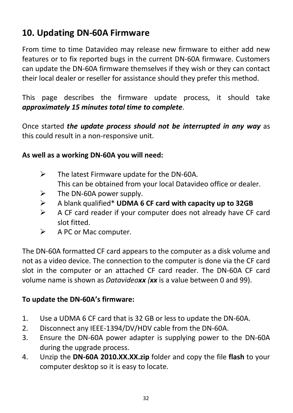# <span id="page-31-0"></span>**10. Updating DN-60A Firmware**

From time to time Datavideo may release new firmware to either add new features or to fix reported bugs in the current DN-60A firmware. Customers can update the DN-60A firmware themselves if they wish or they can contact their local dealer or reseller for assistance should they prefer this method.

This page describes the firmware update process, it should take *approximately 15 minutes total time to complete*.

Once started *the update process should not be interrupted in any way* as this could result in a non-responsive unit.

#### **As well as a working DN-60A you will need:**

- $\triangleright$  The latest Firmware update for the DN-60A. This can be obtained from your local Datavideo office or dealer.
- $\triangleright$  The DN-60A power supply.
- A blank qualified\* **UDMA 6 CF card with capacity up to 32GB**
- $\triangleright$  A CF card reader if your computer does not already have CF card slot fitted.
- $\triangleright$  A PC or Mac computer.

The DN-60A formatted CF card appears to the computer as a disk volume and not as a video device. The connection to the computer is done via the CF card slot in the computer or an attached CF card reader. The DN-60A CF card volume name is shown as *Datavideoxx (xx* is a value between 0 and 99).

#### **To update the DN-60A's firmware:**

- 1. Use a UDMA 6 CF card that is 32 GB or less to update the DN-60A.
- 2. Disconnect any IEEE-1394/DV/HDV cable from the DN-60A.
- 3. Ensure the DN-60A power adapter is supplying power to the DN-60A during the upgrade process.
- 4. Unzip the **DN-60A 2010.XX.XX.zip** folder and copy the file **flash** to your computer desktop so it is easy to locate.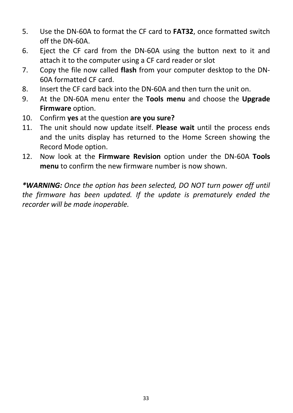- 5. Use the DN-60A to format the CF card to **FAT32**, once formatted switch off the DN-60A.
- 6. Eject the CF card from the DN-60A using the button next to it and attach it to the computer using a CF card reader or slot
- 7. Copy the file now called **flash** from your computer desktop to the DN-60A formatted CF card.
- 8. Insert the CF card back into the DN-60A and then turn the unit on.
- 9. At the DN-60A menu enter the **Tools menu** and choose the **Upgrade Firmware** option.
- 10. Confirm **yes** at the question **are you sure?**
- 11. The unit should now update itself. **Please wait** until the process ends and the units display has returned to the Home Screen showing the Record Mode option.
- 12. Now look at the **Firmware Revision** option under the DN-60A **Tools menu** to confirm the new firmware number is now shown.

*\*WARNING: Once the option has been selected, DO NOT turn power off until the firmware has been updated. If the update is prematurely ended the recorder will be made inoperable.*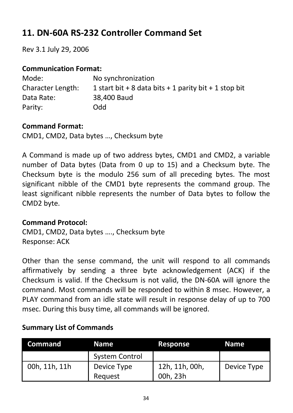# <span id="page-33-0"></span>**11. DN-60A RS-232 Controller Command Set**

Rev 3.1 July 29, 2006

#### **Communication Format:**

| Mode:             | No synchronization                                    |
|-------------------|-------------------------------------------------------|
| Character Length: | 1 start bit + 8 data bits + 1 parity bit + 1 stop bit |
| Data Rate:        | 38,400 Baud                                           |
| Parity:           | Odd                                                   |

#### **Command Format:**

CMD1, CMD2, Data bytes …, Checksum byte

A Command is made up of two address bytes, CMD1 and CMD2, a variable number of Data bytes (Data from 0 up to 15) and a Checksum byte. The Checksum byte is the modulo 256 sum of all preceding bytes. The most significant nibble of the CMD1 byte represents the command group. The least significant nibble represents the number of Data bytes to follow the CMD2 byte.

#### **Command Protocol:**

CMD1, CMD2, Data bytes …., Checksum byte Response: ACK

Other than the sense command, the unit will respond to all commands affirmatively by sending a three byte acknowledgement (ACK) if the Checksum is valid. If the Checksum is not valid, the DN-60A will ignore the command. Most commands will be responded to within 8 msec. However, a PLAY command from an idle state will result in response delay of up to 700 msec. During this busy time, all commands will be ignored.

| <b>Command</b> | Name                  | Response       | Name        |
|----------------|-----------------------|----------------|-------------|
|                | <b>System Control</b> |                |             |
| 00h. 11h. 11h  | Device Type           | 12h, 11h, 00h, | Device Type |
|                | Reauest               | 00h. 23h       |             |

#### **Summary List of Commands**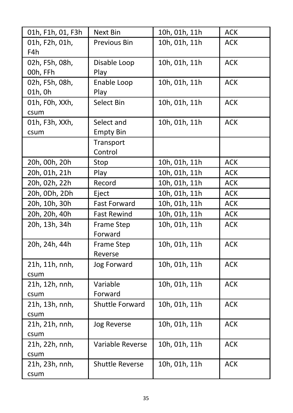| 01h, F1h, 01, F3h          | Next Bin                       | 10h, 01h, 11h | <b>ACK</b> |
|----------------------------|--------------------------------|---------------|------------|
| 01h, F2h, 01h,<br>F4h      | Previous Bin                   | 10h, 01h, 11h | <b>ACK</b> |
| 02h, F5h, 08h,<br>00h, FFh | Disable Loop<br>Play           | 10h, 01h, 11h | <b>ACK</b> |
| 02h, F5h, 08h,<br>01h, 0h  | Enable Loop<br>Play            | 10h, 01h, 11h | <b>ACK</b> |
| 01h, F0h, XXh,<br>csum     | Select Bin                     | 10h, 01h, 11h | <b>ACK</b> |
| 01h, F3h, XXh,<br>csum     | Select and<br><b>Empty Bin</b> | 10h, 01h, 11h | <b>ACK</b> |
|                            | Transport<br>Control           |               |            |
| 20h, 00h, 20h              | Stop                           | 10h, 01h, 11h | <b>ACK</b> |
| 20h, 01h, 21h              | Play                           | 10h, 01h, 11h | ACK        |
| 20h, 02h, 22h              | Record                         | 10h, 01h, 11h | ACK        |
| 20h, 0Dh, 2Dh              | Eject                          | 10h, 01h, 11h | ACK        |
| 20h, 10h, 30h              | <b>Fast Forward</b>            | 10h, 01h, 11h | ACK        |
| 20h, 20h, 40h              | <b>Fast Rewind</b>             | 10h, 01h, 11h | ACK        |
| 20h, 13h, 34h              | Frame Step<br>Forward          | 10h, 01h, 11h | ACK        |
| 20h, 24h, 44h              | Frame Step<br>Reverse          | 10h, 01h, 11h | <b>ACK</b> |
| 21h, 11h, nnh,<br>csum     | Jog Forward                    | 10h, 01h, 11h | <b>ACK</b> |
| 21h, 12h, nnh,<br>csum     | Variable<br>Forward            | 10h, 01h, 11h | <b>ACK</b> |
| 21h, 13h, nnh,<br>csum     | Shuttle Forward                | 10h, 01h, 11h | ACK        |
| 21h, 21h, nnh,<br>csum     | Jog Reverse                    | 10h, 01h, 11h | <b>ACK</b> |
| 21h, 22h, nnh,<br>csum     | Variable Reverse               | 10h, 01h, 11h | <b>ACK</b> |
| 21h, 23h, nnh,<br>csum     | Shuttle Reverse                | 10h, 01h, 11h | ACK        |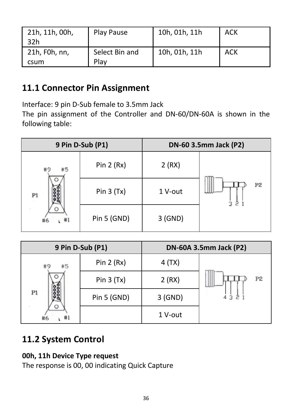| 21h, 11h, 00h,<br>32h | Play Pause             | 10h, 01h, 11h | ACK |
|-----------------------|------------------------|---------------|-----|
| 21h, F0h, nn,<br>csum | Select Bin and<br>Play | 10h, 01h, 11h | ACK |

#### <span id="page-35-0"></span>**11.1 Connector Pin Assignment**

Interface: 9 pin D-Sub female to 3.5mm Jack

The pin assignment of the Controller and DN-60/DN-60A is shown in the following table:

| 9 Pin D-Sub (P1)   |             |         | DN-60 3.5mm Jack (P2) |
|--------------------|-------------|---------|-----------------------|
| #9<br>#5           | Pin $2(Rx)$ | 2(RX)   |                       |
| C<br>-98<br>P1     | Pin $3(Tx)$ | 1 V-out | P <sub>2</sub>        |
| O<br>#1<br>#6<br>١ | Pin 5 (GND) | 3 (GND) |                       |

| 9 Pin D-Sub (P1)    |             |         | DN-60A 3.5mm Jack (P2) |
|---------------------|-------------|---------|------------------------|
| #9<br>#5            | Pin $2(Rx)$ | 4 (TX)  |                        |
| O<br>P <sub>1</sub> | Pin $3(Tx)$ | 2(RX)   | P2                     |
|                     | Pin 5 (GND) | 3 (GND) |                        |
| O<br>#6<br>#1       |             | 1 V-out |                        |

# <span id="page-35-1"></span>**11.2 System Control**

#### **00h, 11h Device Type request**

The response is 00, 00 indicating Quick Capture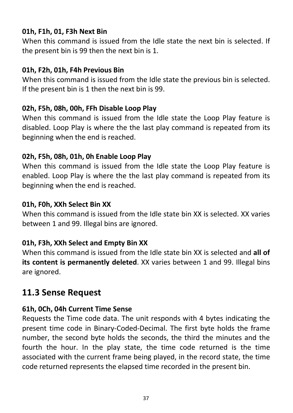#### **01h, F1h, 01, F3h Next Bin**

When this command is issued from the Idle state the next bin is selected. If the present bin is 99 then the next bin is 1.

#### **01h, F2h, 01h, F4h Previous Bin**

When this command is issued from the Idle state the previous bin is selected. If the present bin is 1 then the next bin is 99.

#### **02h, F5h, 08h, 00h, FFh Disable Loop Play**

When this command is issued from the Idle state the Loop Play feature is disabled. Loop Play is where the the last play command is repeated from its beginning when the end is reached.

#### **02h, F5h, 08h, 01h, 0h Enable Loop Play**

When this command is issued from the Idle state the Loop Play feature is enabled. Loop Play is where the the last play command is repeated from its beginning when the end is reached.

#### **01h, F0h, XXh Select Bin XX**

When this command is issued from the Idle state bin XX is selected. XX varies between 1 and 99. Illegal bins are ignored.

#### **01h, F3h, XXh Select and Empty Bin XX**

When this command is issued from the Idle state bin XX is selected and **all of its content is permanently deleted**. XX varies between 1 and 99. Illegal bins are ignored.

#### <span id="page-36-0"></span>**11.3 Sense Request**

#### **61h, 0Ch, 04h Current Time Sense**

Requests the Time code data. The unit responds with 4 bytes indicating the present time code in Binary-Coded-Decimal. The first byte holds the frame number, the second byte holds the seconds, the third the minutes and the fourth the hour. In the play state, the time code returned is the time associated with the current frame being played, in the record state, the time code returned represents the elapsed time recorded in the present bin.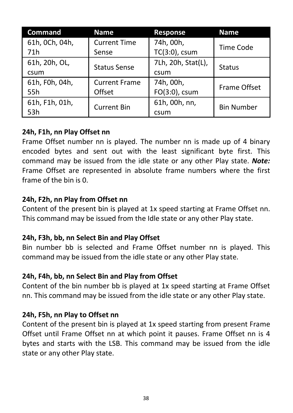| Command        | Name                 | Response           | <b>Name</b>       |
|----------------|----------------------|--------------------|-------------------|
| 61h, OCh, 04h, | <b>Current Time</b>  | 74h, 00h,          | Time Code         |
| 71h            | Sense                | TC(3:0), csum      |                   |
| 61h, 20h, OL,  |                      | 7Lh, 20h, Stat(L), |                   |
| csum           | <b>Status Sense</b>  | csum               | Status            |
| 61h, F0h, 04h, | <b>Current Frame</b> | 74h. 00h.          | Frame Offset      |
| 55h            | Offset               | FO(3:0), csum      |                   |
| 61h, F1h, 01h, | <b>Current Bin</b>   | 61h, 00h, nn,      | <b>Bin Number</b> |
| 53h            |                      | csum               |                   |

#### **24h, F1h, nn Play Offset nn**

Frame Offset number nn is played. The number nn is made up of 4 binary encoded bytes and sent out with the least significant byte first. This command may be issued from the idle state or any other Play state. *Note:* Frame Offset are represented in absolute frame numbers where the first frame of the bin is 0.

#### **24h, F2h, nn Play from Offset nn**

Content of the present bin is played at 1x speed starting at Frame Offset nn. This command may be issued from the Idle state or any other Play state.

#### **24h, F3h, bb, nn Select Bin and Play Offset**

Bin number bb is selected and Frame Offset number nn is played. This command may be issued from the idle state or any other Play state.

#### **24h, F4h, bb, nn Select Bin and Play from Offset**

Content of the bin number bb is played at 1x speed starting at Frame Offset nn. This command may be issued from the idle state or any other Play state.

#### **24h, F5h, nn Play to Offset nn**

Content of the present bin is played at 1x speed starting from present Frame Offset until Frame Offset nn at which point it pauses. Frame Offset nn is 4 bytes and starts with the LSB. This command may be issued from the idle state or any other Play state.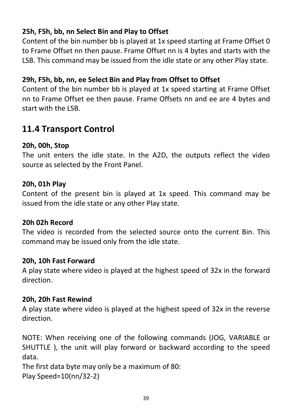#### **25h, F5h, bb, nn Select Bin and Play to Offset**

Content of the bin number bb is played at 1x speed starting at Frame Offset 0 to Frame Offset nn then pause. Frame Offset nn is 4 bytes and starts with the LSB. This command may be issued from the idle state or any other Play state.

#### **29h, F5h, bb, nn, ee Select Bin and Play from Offset to Offset**

Content of the bin number bb is played at 1x speed starting at Frame Offset nn to Frame Offset ee then pause. Frame Offsets nn and ee are 4 bytes and start with the LSB.

#### <span id="page-38-0"></span>**11.4 Transport Control**

#### **20h, 00h, Stop**

The unit enters the idle state. In the A2D, the outputs reflect the video source as selected by the Front Panel.

#### **20h, 01h Play**

Content of the present bin is played at 1x speed. This command may be issued from the idle state or any other Play state.

#### **20h 02h Record**

The video is recorded from the selected source onto the current Bin. This command may be issued only from the idle state.

#### **20h, 10h Fast Forward**

A play state where video is played at the highest speed of 32x in the forward direction.

#### **20h, 20h Fast Rewind**

A play state where video is played at the highest speed of 32x in the reverse direction.

NOTE: When receiving one of the following commands (JOG, VARIABLE or SHUTTLE ), the unit will play forward or backward according to the speed data.

The first data byte may only be a maximum of 80:

Play Speed=10(nn/32-2)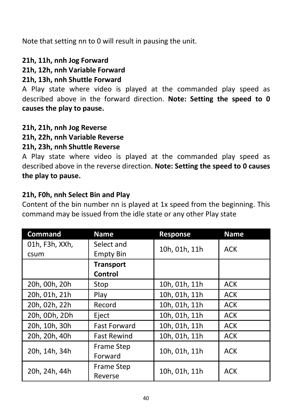Note that setting nn to 0 will result in pausing the unit.

#### **21h, 11h, nnh Jog Forward**

#### **21h, 12h, nnh Variable Forward**

#### **21h, 13h, nnh Shuttle Forward**

A Play state where video is played at the commanded play speed as described above in the forward direction. **Note: Setting the speed to 0 causes the play to pause.**

#### **21h, 21h, nnh Jog Reverse**

#### **21h, 22h, nnh Variable Reverse**

#### **21h, 23h, nnh Shuttle Reverse**

A Play state where video is played at the commanded play speed as described above in the reverse direction. **Note: Setting the speed to 0 causes the play to pause.**

#### **21h, F0h, nnh Select Bin and Play**

Content of the bin number nn is played at 1x speed from the beginning. This command may be issued from the idle state or any other Play state

| Command        | Name                | Response      | <b>Name</b> |
|----------------|---------------------|---------------|-------------|
| 01h, F3h, XXh, | Select and          | 10h, 01h, 11h | ACK         |
| csum           | <b>Empty Bin</b>    |               |             |
|                | <b>Transport</b>    |               |             |
|                | Control             |               |             |
| 20h, 00h, 20h  | Stop                | 10h, 01h, 11h | <b>ACK</b>  |
| 20h, 01h, 21h  | Play                | 10h. 01h. 11h | <b>ACK</b>  |
| 20h, 02h, 22h  | Record              | 10h, 01h, 11h | <b>ACK</b>  |
| 20h, 0Dh, 2Dh  | Eject               | 10h, 01h, 11h | <b>ACK</b>  |
| 20h, 10h, 30h  | <b>Fast Forward</b> | 10h, 01h, 11h | ACK         |
| 20h, 20h, 40h  | <b>Fast Rewind</b>  | 10h, 01h, 11h | <b>ACK</b>  |
| 20h, 14h, 34h  | Frame Step          | 10h, 01h, 11h | ACK         |
|                | Forward             |               |             |
| 20h, 24h, 44h  | Frame Step          | 10h. 01h. 11h | <b>ACK</b>  |
|                | Reverse             |               |             |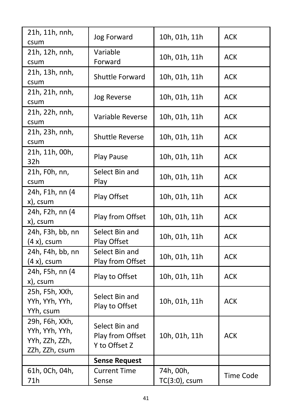| 21h, 11h, nnh,<br>csum                                               | Jog Forward                                         | 10h, 01h, 11h              | <b>ACK</b>       |
|----------------------------------------------------------------------|-----------------------------------------------------|----------------------------|------------------|
| 21h, 12h, nnh,<br>csum                                               | Variable<br>Forward                                 | 10h, 01h, 11h              | ACK              |
| 21h, 13h, nnh,<br>csum                                               | Shuttle Forward                                     | 10h, 01h, 11h              | ACK              |
| 21h, 21h, nnh,<br>csum                                               | Jog Reverse                                         | 10h, 01h, 11h              | ACK              |
| 21h, 22h, nnh,<br>csum                                               | Variable Reverse                                    | 10h, 01h, 11h              | ACK              |
| 21h, 23h, nnh,<br>csum                                               | <b>Shuttle Reverse</b>                              | 10h, 01h, 11h              | ACK              |
| 21h, 11h, 00h,<br>32h                                                | Play Pause                                          | 10h, 01h, 11h              | ACK              |
| 21h, F0h, nn,<br>csum                                                | Select Bin and<br>Play                              | 10h, 01h, 11h              | ACK              |
| 24h, F1h, nn (4<br>x), csum                                          | Play Offset                                         | 10h, 01h, 11h              | ACK              |
| 24h, F2h, nn (4<br>x), csum                                          | Play from Offset                                    | 10h, 01h, 11h              | ACK              |
| 24h, F3h, bb, nn<br>$(4 x)$ , csum                                   | Select Bin and<br>Play Offset                       | 10h, 01h, 11h              | ACK              |
| 24h, F4h, bb, nn<br>$(4 x)$ , csum                                   | Select Bin and<br>Play from Offset                  | 10h, 01h, 11h              | ACK              |
| 24h, F5h, nn (4<br>x), csum                                          | Play to Offset                                      | 10h, 01h, 11h              | ACK              |
| 25h, F5h, XXh,<br>YYh, YYh, YYh,<br>YYh, csum                        | Select Bin and<br>Play to Offset                    | 10h, 01h, 11h              | ACK              |
| 29h, F6h, XXh,<br>YYh, YYh, YYh,<br>YYh, ZZh, ZZh,<br>ZZh, ZZh, csum | Select Bin and<br>Play from Offset<br>Y to Offset Z | 10h, 01h, 11h              | ACK              |
|                                                                      | <b>Sense Request</b>                                |                            |                  |
| 61h, OCh, 04h,<br>71h                                                | <b>Current Time</b><br>Sense                        | 74h, 00h,<br>TC(3:0), csum | <b>Time Code</b> |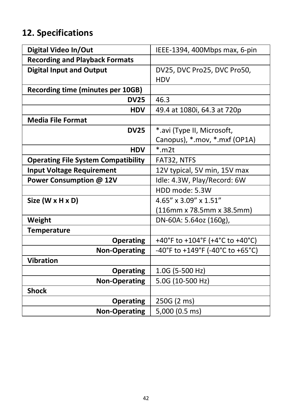# <span id="page-41-0"></span>**12. Specifications**

| Digital Video In/Out                       | IEEE-1394, 400Mbps max, 6-pin    |
|--------------------------------------------|----------------------------------|
| <b>Recording and Playback Formats</b>      |                                  |
| <b>Digital Input and Output</b>            | DV25, DVC Pro25, DVC Pro50,      |
|                                            | <b>HDV</b>                       |
| Recording time (minutes per 10GB)          |                                  |
| <b>DV25</b>                                | 46.3                             |
| <b>HDV</b>                                 | 49.4 at 1080i, 64.3 at 720p      |
| <b>Media File Format</b>                   |                                  |
| <b>DV25</b>                                | *.avi (Type II, Microsoft,       |
|                                            | Canopus), *.mov, *.mxf (OP1A)    |
| <b>HDV</b>                                 | $*$ m $2t$                       |
| <b>Operating File System Compatibility</b> | FAT32, NTFS                      |
| <b>Input Voltage Requirement</b>           | 12V typical, 5V min, 15V max     |
| Power Consumption @ 12V                    | Idle: 4.3W, Play/Record: 6W      |
|                                            | HDD mode: 5.3W                   |
| Size (W x H x D)                           | 4.65" x 3.09" x 1.51"            |
|                                            | (116mm x 78.5mm x 38.5mm)        |
| Weight                                     | DN-60A: 5.64oz (160g),           |
| <b>Temperature</b>                         |                                  |
| Operating                                  | +40°F to +104°F (+4°C to +40°C)  |
| <b>Non-Operating</b>                       | -40°F to +149°F (-40°C to +65°C) |
| Vibration                                  |                                  |
| Operating                                  | 1.0G (5-500 Hz)                  |
| <b>Non-Operating</b>                       | 5.0G (10-500 Hz)                 |
| <b>Shock</b>                               |                                  |
| Operating                                  | 250G (2 ms)                      |
| <b>Non-Operating</b>                       | 5,000 (0.5 ms)                   |